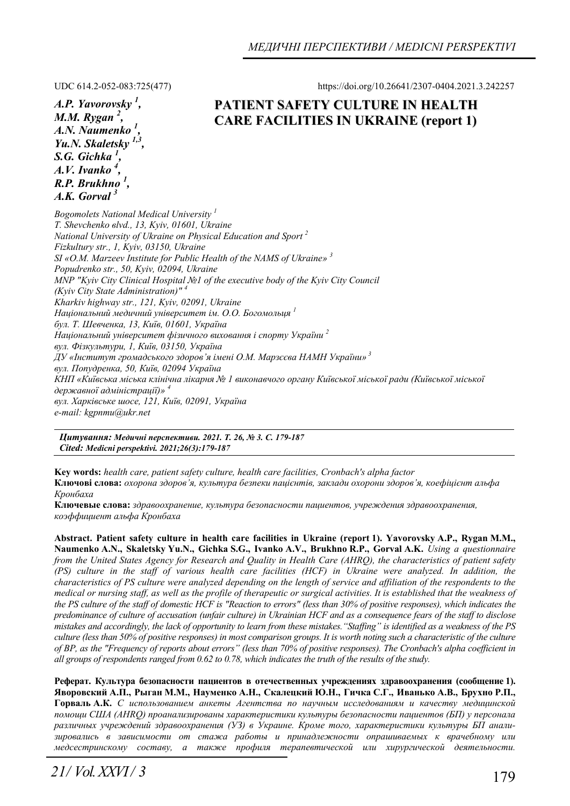*A.P. Yavorovsky 1 , M.M. Rygan <sup>2</sup> , A.N. Naumenko , Yu.N. Skaletsky 1,3, S.G. Gichka 1 , A.V. Ivanko <sup>4</sup> , R.P. Brukhno 1 , A.K. Gorval 3*

UDC 614.2-052-083:725(477) https://doi.org/10.26641/2307-0404.2021.3.242257

# **PATIENT SAFETY CULTURE IN HEALTH CARE FACILITIES IN UKRAINE (report 1)**

*Bogomolets National Medical University 1 T. Shevchenko вlvd., 13, Kyiv, 01601, Ukraine National University of Ukraine on Physical Education and Sport 2 Fizkultury str., 1, Kyiv, 03150, Ukraine SI «O.M. Marzeev Institute for Public Health of the NAMS of Ukraine» 3 Popudrenko str., 50, Kyiv, 02094, Ukraine MNP "Kyiv City Clinical Hospital №1 of the executive body of the Kyiv City Council (Kyiv City State Administration)" <sup>4</sup> Kharkiv highway str., 121, Kyiv, 02091, Ukraine Національний медичний університет ім. О.О. Богомольця <sup>1</sup> бул. Т. Шевченка, 13, Київ, 01601, Україна Національний університет фізичного виховання і спорту України <sup>2</sup> вул. Фізкультури, 1, Київ, 03150, Україна ДУ «Інститут громадського здоров'я імені О.М. Марзєєва НАМН України» 3 вул. Попудренка, 50, Київ, 02094 Україна КНП «Київська міська клінічна лікарня № 1 виконавчого органу Київської міської ради (Київської міської державної адміністрації)» <sup>4</sup> вул. Харківське шосе, 121, Київ, 02091, Україна e-mail: kgpnmu@ukr.net* 

*Цитування: Медичні перспективи. 2021. Т. 26, № 3. С. 179-187 Cited: Medicni perspektivi. 2021;26(3):179-187*

**Key words:** *health care, patient safety culture, health care facilities, Cronbach's alpha factor*  Ключові слова: охорона здоров'я, культура безпеки пацієнтів, заклади охорони здоров'я, коефіцієнт альфа *Кронбаха* 

**Ключевые слова:** *здравоохранение, культура безопасности пациентов, учреждения здравоохранения, коэффициент альфа Кронбаха*

**Abstract. Patient safety culture in health care facilities in Ukraine (report 1). Yavorovsky A.P., Rygan M.M., Naumenko A.N., Skaletsky Yu.N., Gichka S.G., Ivanko A.V., Brukhno R.P., Gorval A.K.** *Using a questionnaire from the United States Agency for Research and Quality in Health Care (AHRQ), the characteristics of patient safety (PS) culture in the staff of various health care facilities (HCF) in Ukraine were analyzed. In addition, the characteristics of PS culture were analyzed depending on the length of service and affiliation of the respondents to the medical or nursing staff, as well as the profile of therapeutic or surgical activities. It is established that the weakness of the PS culture of the staff of domestic HCF is "Reaction to errors" (less than 30% of positive responses), which indicates the predominance of culture of accusation (unfair culture) in Ukrainian HCF and as a consequence fears of the staff to disclose mistakes and accordingly, the lack of opportunity to learn from these mistakes."Staffing" is identified as a weakness of the PS culture (less than 50% of positive responses) in most comparison groups. It is worth noting such a characteristic of the culture of BP, as the "Frequency of reports about errors" (less than 70% of positive responses). The Cronbach's alpha coefficient in all groups of respondents ranged from 0.62 to 0.78, which indicates the truth of the results of the study.* 

**Реферат. Культура безопасности пациентов в отечественных учреждениях здравоохранения (сообщение 1).**  Яворовский А.П., Рыган М.М., Науменко А.Н., Скалецкий Ю.Н., Гичка С.Г., Иванько А.В., Брухно Р.П., **Горваль А.К.** *С использованием анкеты Агентства по научным исследованиям и качеству медицинской помощи США (AHRQ) проанализированы характеристики культуры безопасности пациентов (БП) у персонала различных учреждений здравоохранения (УЗ) в Украине. Кроме того, характеристики культуры БП анализировались в зависимости от стажа работы и принадлежности опрашиваемых к врачебному или медсестринскому составу, а также профиля терапевтической или хирургической деятельности.*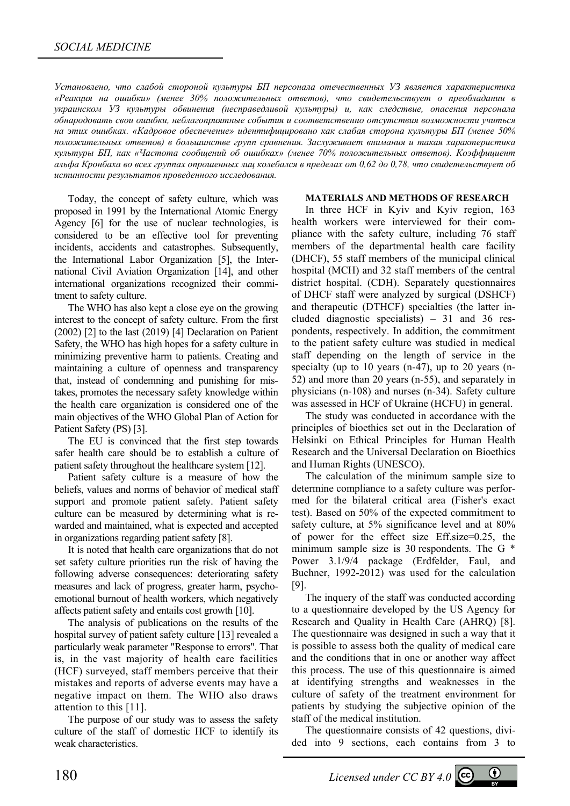*Установлено, что слабой стороной культуры БП персонала отечественных УЗ является характеристика «Реакция на ошибки» (менее 30% положительных ответов), что свидетельствует о преобладании в украинском УЗ культуры обвинения (несправедливой культуры) и, как следствие, опасения персонала обнародовать свои ошибки, неблагоприятные события и соответственно отсутствия возможности учиться на этих ошибках. «Кадровое обеспечение» идентифицировано как слабая сторона культуры БП (менее 50% положительных ответов) в большинстве групп сравнения. Заслуживает внимания и такая характеристика культуры БП, как «Частота сообщений об ошибках» (менее 70% положительных ответов). Коэффициент* альфа Кронбаха во всех группах опрошенных лии колебался в пределах от 0,62 до 0,78, что свидетельствует об *истинности результатов проведенного исследования.* 

Today, the concept of safety culture, which was proposed in 1991 by the International Atomic Energy Agency [6] for the use of nuclear technologies, is considered to be an effective tool for preventing incidents, accidents and catastrophes. Subsequently, the International Labor Organization [5], the International Civil Aviation Organization [14], and other international organizations recognized their commitment to safety culture.

The WHO has also kept a close eye on the growing interest to the concept of safety culture. From the first (2002) [2] to the last (2019) [4] Declaration on Patient Safety, the WHO has high hopes for a safety culture in minimizing preventive harm to patients. Creating and maintaining a culture of openness and transparency that, instead of condemning and punishing for mistakes, promotes the necessary safety knowledge within the health care organization is considered one of the main objectives of the WHO Global Plan of Action for Patient Safety (PS) [3].

The EU is convinced that the first step towards safer health care should be to establish a culture of patient safety throughout the healthcare system [12].

Patient safety culture is a measure of how the beliefs, values and norms of behavior of medical staff support and promote patient safety. Patient safety culture can be measured by determining what is rewarded and maintained, what is expected and accepted in organizations regarding patient safety [8].

It is noted that health care organizations that do not set safety culture priorities run the risk of having the following adverse consequences: deteriorating safety measures and lack of progress, greater harm, psychoemotional burnout of health workers, which negatively affects patient safety and entails cost growth [10].

The analysis of publications on the results of the hospital survey of patient safety culture [13] revealed a particularly weak parameter "Response to errors". That is, in the vast majority of health care facilities (HCF) surveyed, staff members perceive that their mistakes and reports of adverse events may have a negative impact on them. The WHO also draws attention to this [11].

The purpose of our study was to assess the safety culture of the staff of domestic HCF to identify its weak characteristics.

#### **MATERIALS AND METHODS OF RESEARCH**

In three HCF in Kyiv and Kyiv region, 163 health workers were interviewed for their compliance with the safety culture, including 76 staff members of the departmental health care facility (DHCF), 55 staff members of the municipal clinical hospital (MCH) and 32 staff members of the central district hospital. (CDH). Separately questionnaires of DHCF staff were analyzed by surgical (DSHCF) and therapeutic (DTHCF) specialties (the latter included diagnostic specialists) – 31 and 36 respondents, respectively. In addition, the commitment to the patient safety culture was studied in medical staff depending on the length of service in the specialty (up to 10 years (n-47), up to 20 years (n-52) and more than 20 years (n-55), and separately in physicians (n-108) and nurses (n-34). Safety culture was assessed in HCF of Ukraine (HCFU) in general.

The study was conducted in accordance with the principles of bioethics set out in the Declaration of Helsinki on Ethical Principles for Human Health Research and the Universal Declaration on Bioethics and Human Rights (UNESCO).

The calculation of the minimum sample size to determine compliance to a safety culture was performed for the bilateral critical area (Fisher's exact test). Based on 50% of the expected commitment to safety culture, at 5% significance level and at 80% of power for the effect size Eff.size=0.25, the minimum sample size is 30 respondents. The G \* Power 3.1/9/4 package (Erdfelder, Faul, and Buchner, 1992-2012) was used for the calculation [9].

The inquery of the staff was conducted according to a questionnaire developed by the US Agency for Research and Quality in Health Care (AHRQ) [8]. The questionnaire was designed in such a way that it is possible to assess both the quality of medical care and the conditions that in one or another way affect this process. The use of this questionnaire is aimed at identifying strengths and weaknesses in the culture of safety of the treatment environment for patients by studying the subjective opinion of the staff of the medical institution.

The questionnaire consists of 42 questions, divided into 9 sections, each contains from 3 to

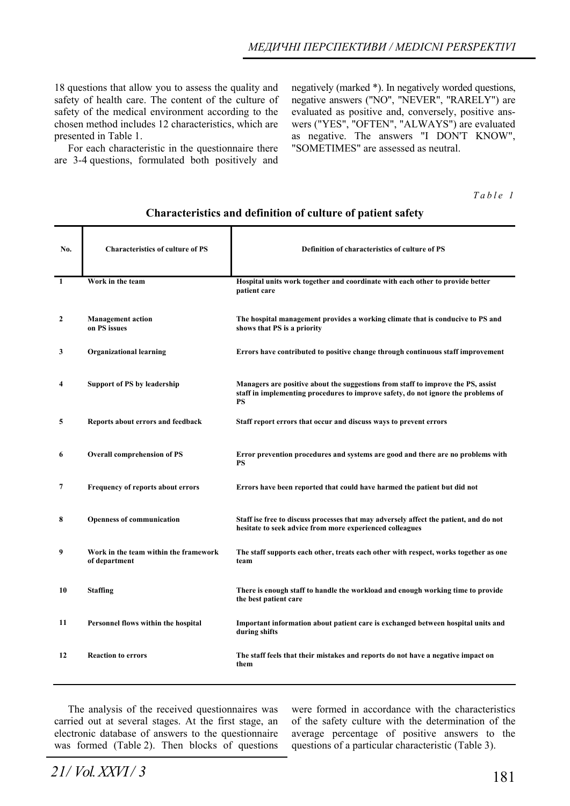18 questions that allow you to assess the quality and safety of health care. The content of the culture of safety of the medical environment according to the chosen method includes 12 characteristics, which are presented in Table 1.

For each characteristic in the questionnaire there are 3-4 questions, formulated both positively and negatively (marked \*). In negatively worded questions, negative answers ("NO", "NEVER", "RARELY") are evaluated as positive and, conversely, positive answers ("YES", "OFTEN", "ALWAYS") are evaluated as negative. The answers "I DON'T KNOW", "SOMETIMES" are assessed as neutral.

*Table 1* 

## **Characteristics and definition of culture of patient safety**

| No.          | <b>Characteristics of culture of PS</b>                | Definition of characteristics of culture of PS                                                                                                                              |
|--------------|--------------------------------------------------------|-----------------------------------------------------------------------------------------------------------------------------------------------------------------------------|
| 1            | Work in the team                                       | Hospital units work together and coordinate with each other to provide better<br>patient care                                                                               |
| $\mathbf{2}$ | <b>Management action</b><br>on PS issues               | The hospital management provides a working climate that is conducive to PS and<br>shows that PS is a priority                                                               |
| 3            | <b>Organizational learning</b>                         | Errors have contributed to positive change through continuous staff improvement                                                                                             |
| 4            | Support of PS by leadership                            | Managers are positive about the suggestions from staff to improve the PS, assist<br>staff in implementing procedures to improve safety, do not ignore the problems of<br>PS |
| 5            | Reports about errors and feedback                      | Staff report errors that occur and discuss ways to prevent errors                                                                                                           |
| 6            | <b>Overall comprehension of PS</b>                     | Error prevention procedures and systems are good and there are no problems with<br><b>PS</b>                                                                                |
| 7            | <b>Frequency of reports about errors</b>               | Errors have been reported that could have harmed the patient but did not                                                                                                    |
| 8            | <b>Openness of communication</b>                       | Staff ise free to discuss processes that may adversely affect the patient, and do not<br>hesitate to seek advice from more experienced colleagues                           |
| 9            | Work in the team within the framework<br>of department | The staff supports each other, treats each other with respect, works together as one<br>team                                                                                |
| 10           | <b>Staffing</b>                                        | There is enough staff to handle the workload and enough working time to provide<br>the best patient care                                                                    |
| 11           | Personnel flows within the hospital                    | Important information about patient care is exchanged between hospital units and<br>during shifts                                                                           |
| 12           | <b>Reaction to errors</b>                              | The staff feels that their mistakes and reports do not have a negative impact on<br>them                                                                                    |

The analysis of the received questionnaires was carried out at several stages. At the first stage, an electronic database of answers to the questionnaire was formed (Table 2). Then blocks of questions were formed in accordance with the characteristics of the safety culture with the determination of the average percentage of positive answers to the questions of a particular characteristic (Table 3).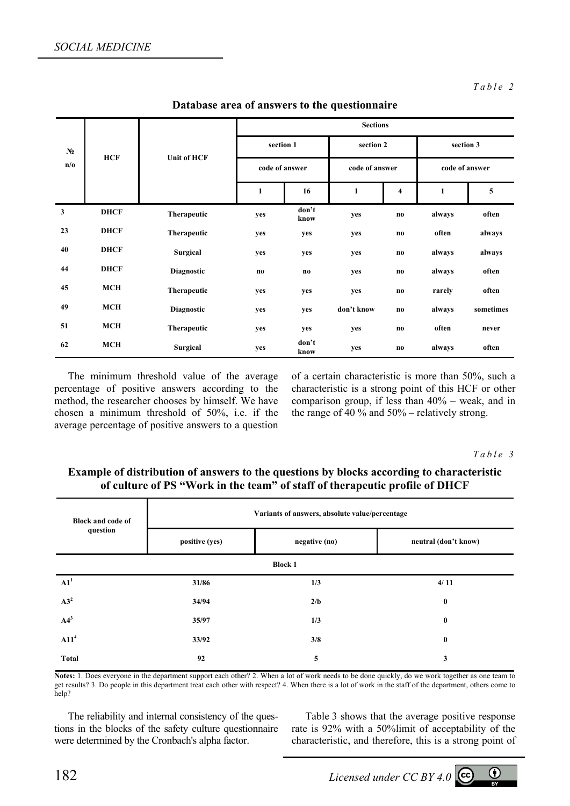| Database area of answers to the questionnaire |  |
|-----------------------------------------------|--|
|-----------------------------------------------|--|

|                              | <b>HCF</b>  |                    | <b>Sections</b>        |                        |                |                         |                |           |
|------------------------------|-------------|--------------------|------------------------|------------------------|----------------|-------------------------|----------------|-----------|
| N <sub>2</sub><br>$n/\sigma$ |             | <b>Unit of HCF</b> | section 1              |                        | section 2      |                         | section 3      |           |
|                              |             |                    | code of answer         |                        | code of answer |                         | code of answer |           |
|                              |             |                    | $\mathbf{1}$           | 16                     | $\mathbf{1}$   | $\overline{\mathbf{4}}$ | $\mathbf{1}$   | 5         |
| $\mathbf{3}$                 | <b>DHCF</b> | <b>Therapeutic</b> | yes                    | don't<br>know          | yes            | $\mathbf{n}\mathbf{o}$  | always         | often     |
| 23                           | <b>DHCF</b> | Therapeutic        | yes                    | yes                    | yes            | n <sub>0</sub>          | often          | always    |
| 40                           | <b>DHCF</b> | Surgical           | yes                    | yes                    | yes            | n <sub>0</sub>          | always         | always    |
| 44                           | <b>DHCF</b> | <b>Diagnostic</b>  | $\mathbf{n}\mathbf{o}$ | $\mathbf{n}\mathbf{o}$ | yes            | $\mathbf{n}\mathbf{o}$  | always         | often     |
| 45                           | <b>MCH</b>  | Therapeutic        | yes                    | yes                    | yes            | $\mathbf{n}\mathbf{o}$  | rarely         | often     |
| 49                           | <b>MCH</b>  | <b>Diagnostic</b>  | yes                    | yes                    | don't know     | $\mathbf{n}\mathbf{o}$  | always         | sometimes |
| 51                           | <b>MCH</b>  | <b>Therapeutic</b> | yes                    | yes                    | yes            | $\mathbf{n}\mathbf{o}$  | often          | never     |
| 62                           | <b>MCH</b>  | Surgical           | yes                    | don't<br>know          | yes            | no                      | always         | often     |

The minimum threshold value of the average percentage of positive answers according to the method, the researcher chooses by himself. We have chosen a minimum threshold of 50%, i.e. if the average percentage of positive answers to a question of a certain characteristic is more than 50%, such a characteristic is a strong point of this HCF or other comparison group, if less than 40% – weak, and in the range of 40 % and  $50\%$  – relatively strong.

*Table 3* 

#### **Example of distribution of answers to the questions by blocks according to characteristic of culture of PS "Work in the team" of staff of therapeutic profile of DHCF**

| <b>Block and code of</b> | Variants of answers, absolute value/percentage |                |                      |  |  |
|--------------------------|------------------------------------------------|----------------|----------------------|--|--|
| question                 | positive (yes)                                 | negative (no)  | neutral (don't know) |  |  |
|                          |                                                | <b>Block 1</b> |                      |  |  |
| $\mathbf{A1}^1$          | 31/86                                          | 1/3            | 4/11                 |  |  |
| $A3^2$                   | 34/94                                          | 2/b            | $\bf{0}$             |  |  |
| $A4^3$                   | 35/97                                          | 1/3            | $\bf{0}$             |  |  |
| A11 <sup>4</sup>         | 33/92                                          | 3/8            | $\bf{0}$             |  |  |
| <b>Total</b>             | 92                                             | 5              | 3                    |  |  |

**Notes:** 1. Does everyone in the department support each other? 2. When a lot of work needs to be done quickly, do we work together as one team to get results? 3. Do people in this department treat each other with respect? 4. When there is a lot of work in the staff of the department, others come to help?

The reliability and internal consistency of the questions in the blocks of the safety culture questionnaire were determined by the Cronbach's alpha factor.

Table 3 shows that the average positive response rate is 92% with a 50%limit of acceptability of the characteristic, and therefore, this is a strong point of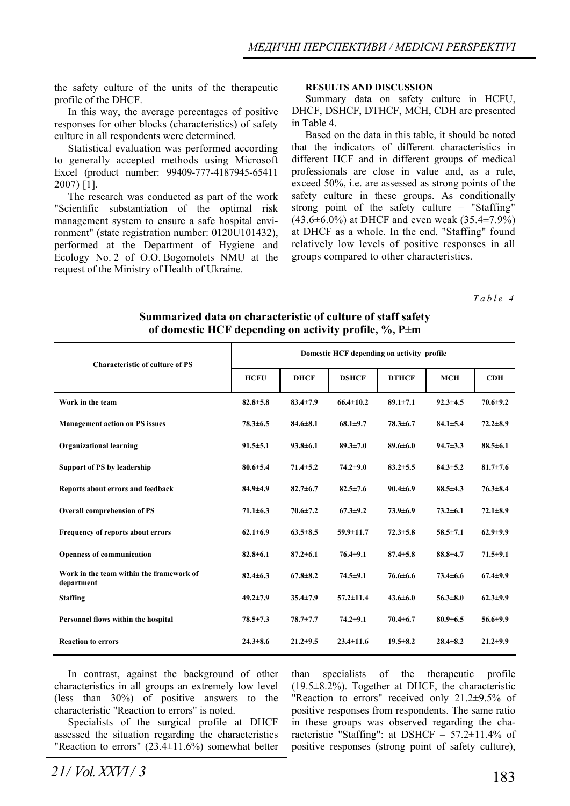the safety culture of the units of the therapeutic profile of the DHCF.

In this way, the average percentages of positive responses for other blocks (characteristics) of safety culture in all respondents were determined.

Statistical evaluation was performed according to generally accepted methods using Microsoft Excel (product number: 99409-777-4187945-65411 2007) [1].

The research was conducted as part of the work "Scientific substantiation of the optimal risk management system to ensure a safe hospital environment" (state registration number: 0120U101432), performed at the Department of Hygiene and Ecology No. 2 of O.O. Bogomolets NMU at the request of the Ministry of Health of Ukraine.

#### **RESULTS AND DISCUSSION**

Summary data on safety culture in HCFU, DHCF, DSHCF, DTHCF, MCH, CDH are presented in Table 4.

Based on the data in this table, it should be noted that the indicators of different characteristics in different HCF and in different groups of medical professionals are close in value and, as a rule, exceed 50%, i.e. are assessed as strong points of the safety culture in these groups. As conditionally strong point of the safety culture – "Staffing" (43.6±6.0%) at DHCF and even weak (35.4±7.9%) at DHCF as a whole. In the end, "Staffing" found relatively low levels of positive responses in all groups compared to other characteristics.

*Table 4* 

| <b>Characteristic of culture of PS</b>                 | Domestic HCF depending on activity profile |                |                 |                |                |                |
|--------------------------------------------------------|--------------------------------------------|----------------|-----------------|----------------|----------------|----------------|
|                                                        | <b>HCFU</b>                                | <b>DHCF</b>    | <b>DSHCF</b>    | <b>DTHCF</b>   | <b>MCH</b>     | CDH            |
| Work in the team                                       | $82.8 \pm 5.8$                             | $83.4 \pm 7.9$ | $66.4 \pm 10.2$ | $89.1 \pm 7.1$ | $92.3 \pm 4.5$ | $70.6 + 9.2$   |
| <b>Management action on PS issues</b>                  | $78.3 \pm 6.5$                             | $84.6 \pm 8.1$ | $68.1 \pm 9.7$  | $78.3 \pm 6.7$ | $84.1 \pm 5.4$ | $72.2 \pm 8.9$ |
| <b>Organizational learning</b>                         | $91.5 \pm 5.1$                             | $93.8 \pm 6.1$ | $89.3 \pm 7.0$  | $89.6 \pm 6.0$ | $94.7 \pm 3.3$ | $88.5 \pm 6.1$ |
| <b>Support of PS by leadership</b>                     | $80.6 \pm 5.4$                             | $71.4 \pm 5.2$ | $74.2 \pm 9.0$  | $83.2 \pm 5.5$ | $84.3 \pm 5.2$ | $81.7 \pm 7.6$ |
| Reports about errors and feedback                      | $84.9 \pm 4.9$                             | $82.7 \pm 6.7$ | $82.5 \pm 7.6$  | $90.4 \pm 6.9$ | $88.5 \pm 4.3$ | $76.3 \pm 8.4$ |
| <b>Overall comprehension of PS</b>                     | $71.1 \pm 6.3$                             | $70.6 \pm 7.2$ | $67.3 + 9.2$    | $73.9 \pm 6.9$ | $73.2 \pm 6.1$ | $72.1 \pm 8.9$ |
| <b>Frequency of reports about errors</b>               | $62.1 \pm 6.9$                             | $63.5 \pm 8.5$ | $59.9 \pm 11.7$ | $72.3 \pm 5.8$ | $58.5 \pm 7.1$ | $62.9 \pm 9.9$ |
| <b>Openness of communication</b>                       | $82.8 \pm 6.1$                             | $87.2 \pm 6.1$ | $76.4 \pm 9.1$  | $87.4 \pm 5.8$ | $88.8 + 4.7$   | $71.5 \pm 9.1$ |
| Work in the team within the framework of<br>department | $82.4 \pm 6.3$                             | $67.8 \pm 8.2$ | $74.5 \pm 9.1$  | $76.6 \pm 6.6$ | $73.4 \pm 6.6$ | $67.4 \pm 9.9$ |
| <b>Staffing</b>                                        | $49.2 \pm 7.9$                             | $35.4 \pm 7.9$ | $57.2 \pm 11.4$ | $43.6 \pm 6.0$ | $56.3 \pm 8.0$ | $62.3 \pm 9.9$ |
| Personnel flows within the hospital                    | $78.5 \pm 7.3$                             | $78.7 + 7.7$   | $74.2 + 9.1$    | $70.4 \pm 6.7$ | $80.9 \pm 6.5$ | $56.6 \pm 9.9$ |
| <b>Reaction to errors</b>                              | $24.3 \pm 8.6$                             | $21.2 \pm 9.5$ | $23.4 \pm 11.6$ | $19.5 \pm 8.2$ | $28.4 \pm 8.2$ | $21.2 \pm 9.9$ |

**Summarized data on characteristic of culture of staff safety of domestic HCF depending on activity profile, %, P±m** 

In contrast, against the background of other characteristics in all groups an extremely low level (less than 30%) of positive answers to the characteristic "Reaction to errors" is noted.

Specialists of the surgical profile at DHCF assessed the situation regarding the characteristics "Reaction to errors"  $(23.4 \pm 11.6\%)$  somewhat better

than specialists of the therapeutic profile (19.5±8.2%). Together at DHCF, the characteristic "Reaction to errors" received only 21.2±9.5% of positive responses from respondents. The same ratio in these groups was observed regarding the characteristic "Staffing": at DSHCF – 57.2±11.4% of positive responses (strong point of safety culture),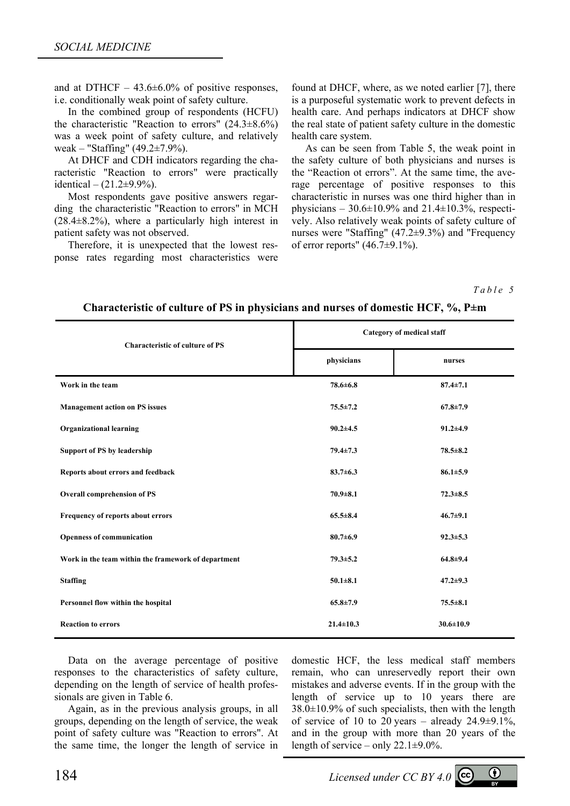and at DTHCF  $-43.6\pm6.0\%$  of positive responses, i.e. conditionally weak point of safety culture.

In the combined group of respondents (HCFU) the characteristic "Reaction to errors"  $(24.3\pm8.6\%)$ was a week point of safety culture, and relatively weak – "Staffing" (49.2±7.9%).

At DHCF and CDH indicators regarding the characteristic "Reaction to errors" were practically identical –  $(21.2\pm 9.9\%)$ .

Most respondents gave positive answers regarding the characteristic "Reaction to errors" in MCH  $(28.4\pm8.2\%)$ , where a particularly high interest in patient safety was not observed.

Therefore, it is unexpected that the lowest response rates regarding most characteristics were

found at DHCF, where, as we noted earlier [7], there is a purposeful systematic work to prevent defects in health care. And perhaps indicators at DHCF show the real state of patient safety culture in the domestic health care system.

As can be seen from Table 5, the weak point in the safety culture of both physicians and nurses is the "Reaction ot errors". At the same time, the average percentage of positive responses to this characteristic in nurses was one third higher than in physicians –  $30.6 \pm 10.9\%$  and  $21.4 \pm 10.3\%$ , respectively. Also relatively weak points of safety culture of nurses were "Staffing" (47.2±9.3%) and "Frequency of error reports"  $(46.7\pm9.1\%)$ .

*Table 5* 

| <b>Characteristic of culture of PS</b>              | Category of medical staff |                 |  |  |
|-----------------------------------------------------|---------------------------|-----------------|--|--|
|                                                     | physicians                | nurses          |  |  |
| Work in the team                                    | $78.6 \pm 6.8$            | $87.4 \pm 7.1$  |  |  |
| <b>Management action on PS issues</b>               | $75.5 \pm 7.2$            | $67.8 \pm 7.9$  |  |  |
| <b>Organizational learning</b>                      | $90.2 \pm 4.5$            | $91.2 \pm 4.9$  |  |  |
| Support of PS by leadership                         | $79.4 \pm 7.3$            | $78.5 \pm 8.2$  |  |  |
| Reports about errors and feedback                   | $83.7 \pm 6.3$            | $86.1 \pm 5.9$  |  |  |
| <b>Overall comprehension of PS</b>                  | $70.9 \pm 8.1$            | $72.3 \pm 8.5$  |  |  |
| Frequency of reports about errors                   | $65.5 \pm 8.4$            | $46.7 \pm 9.1$  |  |  |
| Openness of communication                           | $80.7 \pm 6.9$            | $92.3 \pm 5.3$  |  |  |
| Work in the team within the framework of department | $79.3 \pm 5.2$            | $64.8 + 9.4$    |  |  |
| <b>Staffing</b>                                     | $50.1 \pm 8.1$            | $47.2 \pm 9.3$  |  |  |
| Personnel flow within the hospital                  | $65.8 \pm 7.9$            | $75.5 \pm 8.1$  |  |  |
| <b>Reaction to errors</b>                           | $21.4 \pm 10.3$           | $30.6 \pm 10.9$ |  |  |

### **Characteristic of culture of PS in physicians and nurses of domestic HCF, %, P±m**

Data on the average percentage of positive responses to the characteristics of safety culture, depending on the length of service of health professionals are given in Table 6.

Again, as in the previous analysis groups, in all groups, depending on the length of service, the weak point of safety culture was "Reaction to errors". At the same time, the longer the length of service in domestic HCF, the less medical staff members remain, who can unreservedly report their own mistakes and adverse events. If in the group with the length of service up to 10 years there are  $38.0\pm10.9\%$  of such specialists, then with the length of service of 10 to 20 years – already  $24.9\pm9.1\%$ , and in the group with more than 20 years of the length of service – only  $22.1 \pm 9.0\%$ .

184 *Licensed under CC BY 4.0* 

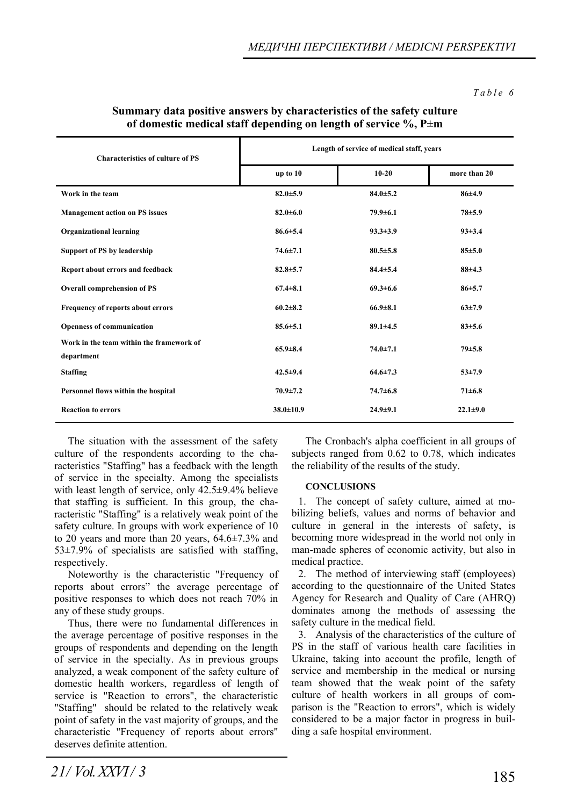*Table 6* 

#### **Summary data positive answers by characteristics of the safety culture of domestic medical staff depending on length of service %, P±m**

| <b>Characteristics of culture of PS</b>                | Length of service of medical staff, years |                |                |  |  |  |
|--------------------------------------------------------|-------------------------------------------|----------------|----------------|--|--|--|
|                                                        | up to $10$                                | $10 - 20$      | more than 20   |  |  |  |
| Work in the team                                       | $82.0 \pm 5.9$                            | $84.0 \pm 5.2$ | 86±4.9         |  |  |  |
| <b>Management action on PS issues</b>                  | $82.0 \pm 6.0$                            | $79.9 \pm 6.1$ | $78 + 5.9$     |  |  |  |
| <b>Organizational learning</b>                         | $86.6 \pm 5.4$                            | $93.3 \pm 3.9$ | $93 \pm 3.4$   |  |  |  |
| <b>Support of PS by leadership</b>                     | $74.6 \pm 7.1$                            | $80.5 \pm 5.8$ | 85±5.0         |  |  |  |
| Report about errors and feedback                       | $82.8 \pm 5.7$                            | $84.4 \pm 5.4$ | $88 + 4.3$     |  |  |  |
| <b>Overall comprehension of PS</b>                     | $67.4 \pm 8.1$                            | $69.3 \pm 6.6$ | $86 \pm 5.7$   |  |  |  |
| Frequency of reports about errors                      | $60.2 \pm 8.2$                            | $66.9 \pm 8.1$ | $63\pm7.9$     |  |  |  |
| Openness of communication                              | $85.6 \pm 5.1$                            | $89.1 \pm 4.5$ | $83 + 5.6$     |  |  |  |
| Work in the team within the framework of<br>department | $65.9 \pm 8.4$                            | $74.0 \pm 7.1$ | $79 + 5.8$     |  |  |  |
| <b>Staffing</b>                                        | $42.5 \pm 9.4$                            | $64.6 \pm 7.3$ | $53 \pm 7.9$   |  |  |  |
| Personnel flows within the hospital                    | $70.9 \pm 7.2$                            | $74.7 + 6.8$   | $71 \pm 6.8$   |  |  |  |
| <b>Reaction to errors</b>                              | $38.0 \pm 10.9$                           | $24.9 \pm 9.1$ | $22.1 \pm 9.0$ |  |  |  |

The situation with the assessment of the safety culture of the respondents according to the characteristics "Staffing" has a feedback with the length of service in the specialty. Among the specialists with least length of service, only 42.5±9.4% believe that staffing is sufficient. In this group, the characteristic "Staffing" is a relatively weak point of the safety culture. In groups with work experience of 10 to 20 years and more than 20 years, 64.6±7.3% and  $53\pm7.9\%$  of specialists are satisfied with staffing, respectively.

Noteworthy is the characteristic "Frequency of reports about errors" the average percentage of positive responses to which does not reach 70% in any of these study groups.

Thus, there were no fundamental differences in the average percentage of positive responses in the groups of respondents and depending on the length of service in the specialty. As in previous groups analyzed, a weak component of the safety culture of domestic health workers, regardless of length of service is "Reaction to errors", the characteristic "Staffing" should be related to the relatively weak point of safety in the vast majority of groups, and the characteristic "Frequency of reports about errors" deserves definite attention.

The Cronbach's alpha coefficient in all groups of subjects ranged from 0.62 to 0.78, which indicates the reliability of the results of the study.

#### **CONCLUSIONS**

1. The concept of safety culture, aimed at mobilizing beliefs, values and norms of behavior and culture in general in the interests of safety, is becoming more widespread in the world not only in man-made spheres of economic activity, but also in medical practice.

2. The method of interviewing staff (employees) according to the questionnaire of the United States Agency for Research and Quality of Care (AHRQ) dominates among the methods of assessing the safety culture in the medical field.

3. Analysis of the characteristics of the culture of PS in the staff of various health care facilities in Ukraine, taking into account the profile, length of service and membership in the medical or nursing team showed that the weak point of the safety culture of health workers in all groups of comparison is the "Reaction to errors", which is widely considered to be a major factor in progress in building a safe hospital environment.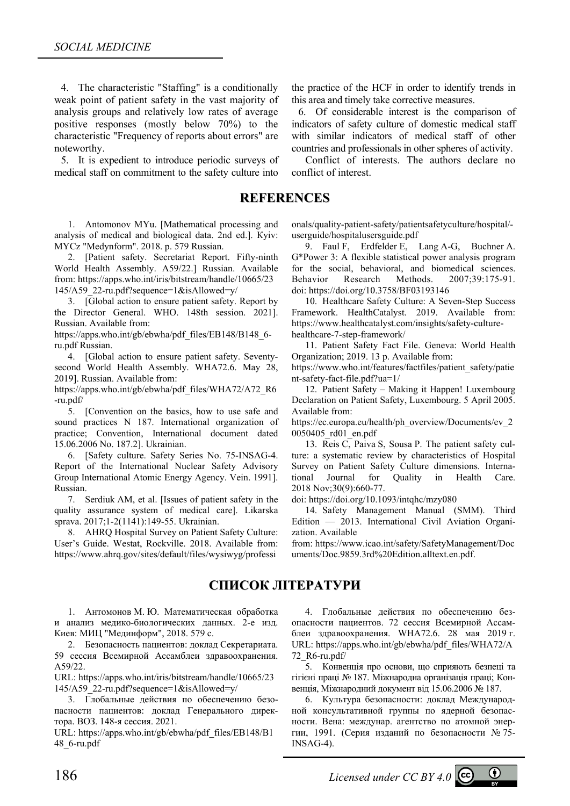4. The characteristic "Staffing" is a conditionally weak point of patient safety in the vast majority of analysis groups and relatively low rates of average positive responses (mostly below 70%) to the characteristic "Frequency of reports about errors" are noteworthy.

5. It is expedient to introduce periodic surveys of medical staff on commitment to the safety culture into

### **REFERENCES**

1. Antomonov MYu. [Mathematical processing and analysis of medical and biological data. 2nd ed.]. Кyiv: MYCz "Medynform". 2018. р. 579 Russian.

2. [Patient safety. Secretariat Report. Fifty-ninth World Health Assembly. A59/22.] Russian. Available from: https://apps.who.int/iris/bitstream/handle/10665/23 145/A59\_22-ru.pdf?sequence=1&isAllowed=y/

3. [Global action to ensure patient safety. Report by the Director General. WHO. 148th session. 2021]. Russian. Available from:

https://apps.who.int/gb/ebwha/pdf\_files/EB148/B148\_6 ru.pdf Russian.

4. [Global action to ensure patient safety. Seventysecond World Health Assembly. WHA72.6. May 28, 2019]. Russian. Available from:

https://apps.who.int/gb/ebwha/pdf\_files/WHA72/A72\_R6 -ru.pdf/

5. [Convention on the basics, how to use safe and sound practices N 187. International organization of practice; Convention, International document dated 15.06.2006 No. 187.2]. Ukrainian.

6. [Safety culture. Safety Series No. 75-INSAG-4. Report of the International Nuclear Safety Advisory Group International Atomic Energy Agency. Vein. 1991]. Russian.

7. Serdiuk AM, et al. [Issues of patient safety in the quality assurance system of medical care]. Likarska sprava. 2017;1-2(1141):149-55. Ukrainian.

8. AHRQ Hospital Survey on Patient Safety Culture: User's Guide. Westat, Rockville. 2018. Available from: https://www.ahrq.gov/sites/default/files/wysiwyg/professi

the practice of the HCF in order to identify trends in this area and timely take corrective measures.

6. Of considerable interest is the comparison of indicators of safety culture of domestic medical staff with similar indicators of medical staff of other countries and professionals in other spheres of activity.

Conflict of interests. The authors declare no conflict of interest.

onals/quality-patient-safety/patientsafetyculture/hospital/ userguide/hospitalusersguide.pdf

9. Faul F, Erdfelder E, Lang A-G, Buchner A. G\*Power 3: A flexible statistical power analysis program for the social, behavioral, and biomedical sciences. Behavior Research Methods. 2007;39:175-91. doi: https://doi.org/10.3758/BF03193146

10. Healthcare Safety Culture: A Seven-Step Success Framework. HealthCatalyst. 2019. Available from: https://www.healthcatalyst.com/insights/safety-culturehealthcare-7-step-framework/

11. Patient Safety Fact File. Geneva: World Health Organization; 2019. 13 p. Available from:

https://www.who.int/features/factfiles/patient\_safety/patie nt-safety-fact-file.pdf?ua=1/

12. Patient Safety – Making it Happen! Luxembourg Declaration on Patient Safety, Luxembourg. 5 April 2005. Available from:

https://ec.europa.eu/health/ph\_overview/Documents/ev\_2 0050405\_rd01\_en.pdf

13. Reis С, Paiva S, Sousa P. The patient safety culture: a systematic review by characteristics of Hospital Survey on Patient Safety Culture dimensions. International Journal for Quality in Health Care. 2018 Nov;30(9):660-77.

doi: https://doi.org/10.1093/intqhc/mzy080

14. Safety Management Manual (SMM). Third Edition — 2013. International Civil Aviation Organization. Available

from: https://www.icao.int/safety/SafetyManagement/Doc uments/Doc.9859.3rd%20Edition.alltext.en.pdf.

# **СПИСОК ЛІТЕРАТУРИ**

1. Антомонов М. Ю. Математическая обработка и анализ медико-биологических данных. 2-е изд. Киев: МИЦ "Мединформ", 2018. 579 с.

2. Безопасность пациентов: доклад Секретариата. 59 сессия Всемирной Ассамблеи здравоохранения. A59/22.

URL: https://apps.who.int/iris/bitstream/handle/10665/23 145/A59\_22-ru.pdf?sequence=1&isAllowed=y/

3. Глобальные действия по обеспечению безопасности пациентов: доклад Генерального директора. ВОЗ. 148-я сессия. 2021.

URL: https://apps.who.int/gb/ebwha/pdf\_files/EB148/B1 48\_6-ru.pdf

4. Глобальные действия по обеспечению безопасности пациентов. 72 сессия Всемирной Ассамблеи здравоохранения. WHA72.6. 28 мая 2019 г. URL: https://apps.who.int/gb/ebwha/pdf\_files/WHA72/A 72\_R6-ru.pdf/

5. Конвенція про основи, що сприяють безпеці та гігієні праці № 187. Міжнародна організація праці; Конвенція, Міжнародний документ від 15.06.2006 № 187.

6. Культура безопасности: доклад Международной консультативной группы по ядерной безопасности. Вена: междунар. агентство по атомной энергии, 1991. (Серия изданий по безопасности № 75- INSAG-4).